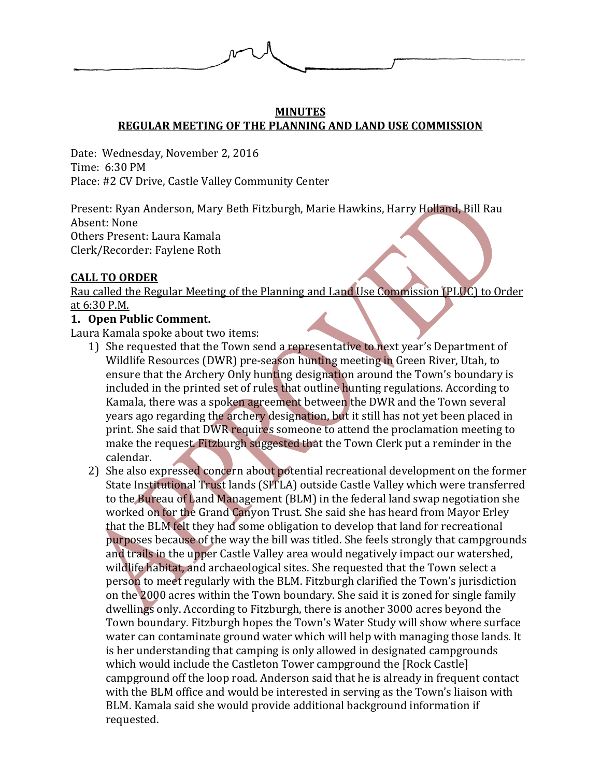

### **MINUTES REGULAR MEETING OF THE PLANNING AND LAND USE COMMISSION**

Date: Wednesday, November 2, 2016 Time: 6:30 PM Place: #2 CV Drive, Castle Valley Community Center

Present: Ryan Anderson, Mary Beth Fitzburgh, Marie Hawkins, Harry Holland, Bill Rau Absent: None Others Present: Laura Kamala Clerk/Recorder: Faylene Roth

## **CALL TO ORDER**

Rau called the Regular Meeting of the Planning and Land Use Commission (PLUC) to Order at 6:30 P.M.

# **1. Open Public Comment.**

Laura Kamala spoke about two items:

- 1) She requested that the Town send a representative to next year's Department of Wildlife Resources (DWR) pre-season hunting meeting in Green River, Utah, to ensure that the Archery Only hunting designation around the Town's boundary is included in the printed set of rules that outline hunting regulations. According to Kamala, there was a spoken agreement between the DWR and the Town several years ago regarding the archery designation, but it still has not yet been placed in print. She said that DWR requires someone to attend the proclamation meeting to make the request. Fitzburgh suggested that the Town Clerk put a reminder in the calendar.
- 2) She also expressed concern about potential recreational development on the former State Institutional Trust lands (SITLA) outside Castle Valley which were transferred to the Bureau of Land Management (BLM) in the federal land swap negotiation she worked on for the Grand Canyon Trust. She said she has heard from Mayor Erley that the BLM felt they had some obligation to develop that land for recreational purposes because of the way the bill was titled. She feels strongly that campgrounds and trails in the upper Castle Valley area would negatively impact our watershed, wildlife habitat, and archaeological sites. She requested that the Town select a person to meet regularly with the BLM. Fitzburgh clarified the Town's jurisdiction on the 2000 acres within the Town boundary. She said it is zoned for single family dwellings only. According to Fitzburgh, there is another 3000 acres beyond the Town boundary. Fitzburgh hopes the Town's Water Study will show where surface water can contaminate ground water which will help with managing those lands. It is her understanding that camping is only allowed in designated campgrounds which would include the Castleton Tower campground the [Rock Castle] campground off the loop road. Anderson said that he is already in frequent contact with the BLM office and would be interested in serving as the Town's liaison with BLM. Kamala said she would provide additional background information if requested.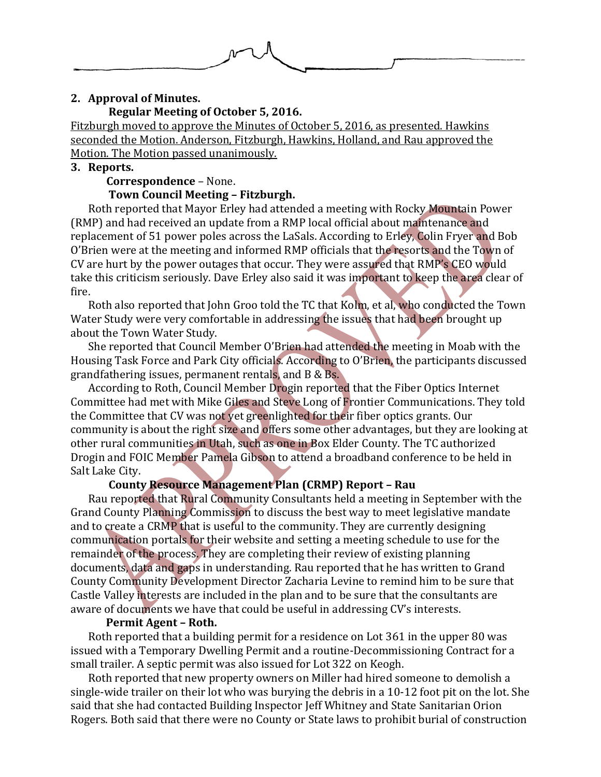

### **2. Approval of Minutes.**

### **Regular Meeting of October 5, 2016.**

Fitzburgh moved to approve the Minutes of October 5, 2016, as presented. Hawkins seconded the Motion. Anderson, Fitzburgh, Hawkins, Holland, and Rau approved the Motion. The Motion passed unanimously.

### **3. Reports.**

 **Correspondence** – None.

# **Town Council Meeting – Fitzburgh.**

Roth reported that Mayor Erley had attended a meeting with Rocky Mountain Power (RMP) and had received an update from a RMP local official about maintenance and replacement of 51 power poles across the LaSals. According to Erley, Colin Fryer and Bob O'Brien were at the meeting and informed RMP officials that the resorts and the Town of CV are hurt by the power outages that occur. They were assured that RMP's CEO would take this criticism seriously. Dave Erley also said it was important to keep the area clear of fire.

Roth also reported that John Groo told the TC that Kolm, et al, who conducted the Town Water Study were very comfortable in addressing the issues that had been brought up about the Town Water Study.

She reported that Council Member O'Brien had attended the meeting in Moab with the Housing Task Force and Park City officials. According to O'Brien, the participants discussed grandfathering issues, permanent rentals, and B & Bs.

According to Roth, Council Member Drogin reported that the Fiber Optics Internet Committee had met with Mike Giles and Steve Long of Frontier Communications. They told the Committee that CV was not yet greenlighted for their fiber optics grants. Our community is about the right size and offers some other advantages, but they are looking at other rural communities in Utah, such as one in Box Elder County. The TC authorized Drogin and FOIC Member Pamela Gibson to attend a broadband conference to be held in Salt Lake City.

### **County Resource Management Plan (CRMP) Report – Rau**

Rau reported that Rural Community Consultants held a meeting in September with the Grand County Planning Commission to discuss the best way to meet legislative mandate and to create a CRMP that is useful to the community. They are currently designing communication portals for their website and setting a meeting schedule to use for the remainder of the process. They are completing their review of existing planning documents, data and gaps in understanding. Rau reported that he has written to Grand County Community Development Director Zacharia Levine to remind him to be sure that Castle Valley interests are included in the plan and to be sure that the consultants are aware of documents we have that could be useful in addressing CV's interests.

### **Permit Agent – Roth.**

Roth reported that a building permit for a residence on Lot 361 in the upper 80 was issued with a Temporary Dwelling Permit and a routine-Decommissioning Contract for a small trailer. A septic permit was also issued for Lot 322 on Keogh.

Roth reported that new property owners on Miller had hired someone to demolish a single-wide trailer on their lot who was burying the debris in a 10-12 foot pit on the lot. She said that she had contacted Building Inspector Jeff Whitney and State Sanitarian Orion Rogers. Both said that there were no County or State laws to prohibit burial of construction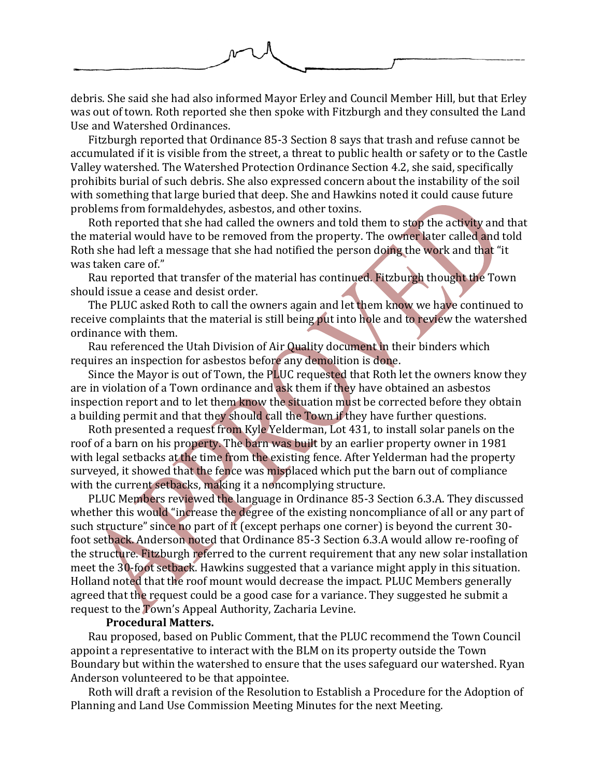

debris. She said she had also informed Mayor Erley and Council Member Hill, but that Erley was out of town. Roth reported she then spoke with Fitzburgh and they consulted the Land Use and Watershed Ordinances.

Fitzburgh reported that Ordinance 85-3 Section 8 says that trash and refuse cannot be accumulated if it is visible from the street, a threat to public health or safety or to the Castle Valley watershed. The Watershed Protection Ordinance Section 4.2, she said, specifically prohibits burial of such debris. She also expressed concern about the instability of the soil with something that large buried that deep. She and Hawkins noted it could cause future problems from formaldehydes, asbestos, and other toxins.

Roth reported that she had called the owners and told them to stop the activity and that the material would have to be removed from the property. The owner later called and told Roth she had left a message that she had notified the person doing the work and that "it was taken care of."

Rau reported that transfer of the material has continued. Fitzburgh thought the Town should issue a cease and desist order.

The PLUC asked Roth to call the owners again and let them know we have continued to receive complaints that the material is still being put into hole and to review the watershed ordinance with them.

Rau referenced the Utah Division of Air Quality document in their binders which requires an inspection for asbestos before any demolition is done.

Since the Mayor is out of Town, the PLUC requested that Roth let the owners know they are in violation of a Town ordinance and ask them if they have obtained an asbestos inspection report and to let them know the situation must be corrected before they obtain a building permit and that they should call the Town if they have further questions.

Roth presented a request from Kyle Yelderman, Lot 431, to install solar panels on the roof of a barn on his property. The barn was built by an earlier property owner in 1981 with legal setbacks at the time from the existing fence. After Yelderman had the property surveyed, it showed that the fence was misplaced which put the barn out of compliance with the current setbacks, making it a noncomplying structure.

PLUC Members reviewed the language in Ordinance 85-3 Section 6.3.A. They discussed whether this would "increase the degree of the existing noncompliance of all or any part of such structure" since no part of it (except perhaps one corner) is beyond the current 30 foot setback. Anderson noted that Ordinance 85-3 Section 6.3.A would allow re-roofing of the structure. Fitzburgh referred to the current requirement that any new solar installation meet the 30-foot setback. Hawkins suggested that a variance might apply in this situation. Holland noted that the roof mount would decrease the impact. PLUC Members generally agreed that the request could be a good case for a variance. They suggested he submit a request to the Town's Appeal Authority, Zacharia Levine.

#### **Procedural Matters.**

Rau proposed, based on Public Comment, that the PLUC recommend the Town Council appoint a representative to interact with the BLM on its property outside the Town Boundary but within the watershed to ensure that the uses safeguard our watershed. Ryan Anderson volunteered to be that appointee.

Roth will draft a revision of the Resolution to Establish a Procedure for the Adoption of Planning and Land Use Commission Meeting Minutes for the next Meeting.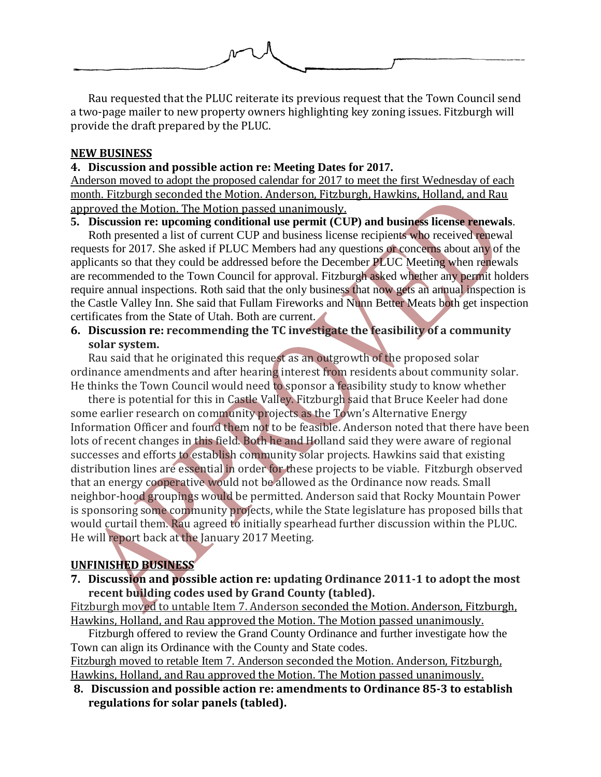

Rau requested that the PLUC reiterate its previous request that the Town Council send a two-page mailer to new property owners highlighting key zoning issues. Fitzburgh will provide the draft prepared by the PLUC.

### **NEW BUSINESS**

### **4. Discussion and possible action re: Meeting Dates for 2017.**

Anderson moved to adopt the proposed calendar for 2017 to meet the first Wednesday of each month. Fitzburgh seconded the Motion. Anderson, Fitzburgh, Hawkins, Holland, and Rau approved the Motion. The Motion passed unanimously.

### **5. Discussion re: upcoming conditional use permit (CUP) and business license renewals**.

Roth presented a list of current CUP and business license recipients who received renewal requests for 2017. She asked if PLUC Members had any questions or concerns about any of the applicants so that they could be addressed before the December PLUC Meeting when renewals are recommended to the Town Council for approval. Fitzburgh asked whether any permit holders require annual inspections. Roth said that the only business that now gets an annual inspection is the Castle Valley Inn. She said that Fullam Fireworks and Nunn Better Meats both get inspection certificates from the State of Utah. Both are current.

## **6. Discussion re: recommending the TC investigate the feasibility of a community solar system.**

Rau said that he originated this request as an outgrowth of the proposed solar ordinance amendments and after hearing interest from residents about community solar. He thinks the Town Council would need to sponsor a feasibility study to know whether

there is potential for this in Castle Valley. Fitzburgh said that Bruce Keeler had done some earlier research on community projects as the Town's Alternative Energy Information Officer and found them not to be feasible. Anderson noted that there have been lots of recent changes in this field. Both he and Holland said they were aware of regional successes and efforts to establish community solar projects. Hawkins said that existing distribution lines are essential in order for these projects to be viable. Fitzburgh observed that an energy cooperative would not be allowed as the Ordinance now reads. Small neighbor-hood groupings would be permitted. Anderson said that Rocky Mountain Power is sponsoring some community projects, while the State legislature has proposed bills that would curtail them. Rau agreed to initially spearhead further discussion within the PLUC. He will report back at the January 2017 Meeting.

## **UNFINISHED BUSINESS**

**7. Discussion and possible action re: updating Ordinance 2011-1 to adopt the most recent building codes used by Grand County (tabled).**

Fitzburgh moved to untable Item 7. Anderson seconded the Motion. Anderson, Fitzburgh, Hawkins, Holland, and Rau approved the Motion. The Motion passed unanimously.

Fitzburgh offered to review the Grand County Ordinance and further investigate how the Town can align its Ordinance with the County and State codes.

Fitzburgh moved to retable Item 7. Anderson seconded the Motion. Anderson, Fitzburgh, Hawkins, Holland, and Rau approved the Motion. The Motion passed unanimously.

**8. Discussion and possible action re: amendments to Ordinance 85-3 to establish regulations for solar panels (tabled).**